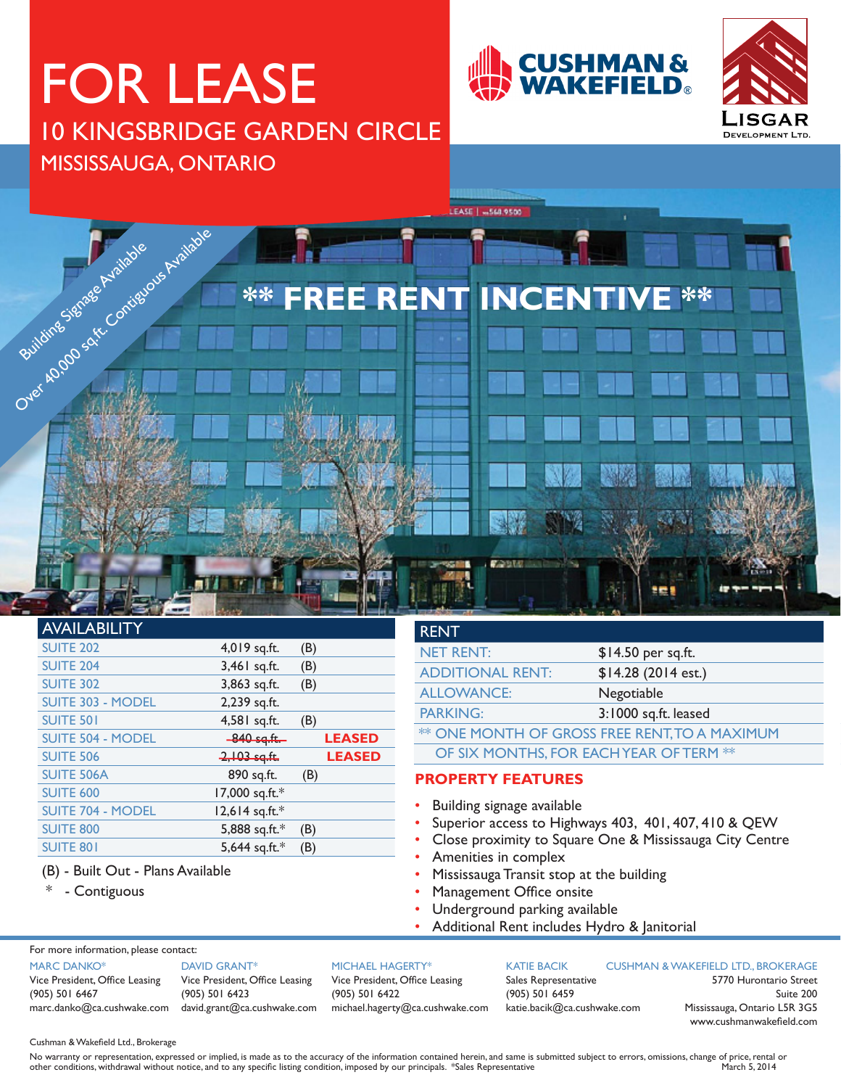# FOR LEASE 10 KINGSBRIDGE GARDEN CIRCLE MISSISSAUGA, ONTARIO







## AVAILABILITY

| <b>SUITE 202</b>         | 4,019 sq.ft.   | (B)           |  |
|--------------------------|----------------|---------------|--|
| <b>SUITE 204</b>         | 3,461 sq.ft.   | (B)           |  |
| <b>SUITE 302</b>         | 3,863 sq.ft.   | (B)           |  |
| SUITE 303 - MODEL        | 2,239 sq.ft.   |               |  |
| <b>SUITE 501</b>         | 4,581 sq.ft.   | (B)           |  |
| <b>SUITE 504 - MODEL</b> | $-840$ sq.ft.  | <b>LEASED</b> |  |
|                          |                |               |  |
| <b>SUITE 506</b>         | $2,103$ sq.ft. | <b>LEASED</b> |  |
| <b>SUITE 506A</b>        | 890 sq.ft.     | (B)           |  |
| <b>SUITE 600</b>         | 17,000 sq.ft.* |               |  |
| <b>SUITE 704 - MODEL</b> | 12,614 sq.ft.* |               |  |
| <b>SUITE 800</b>         | 5,888 sq.ft.*  | (B)           |  |
| <b>SUITE 801</b>         | 5,644 sq.ft.*  | (B)           |  |

### (B) - Built Out - Plans Available

\* - Contiguous

## RENT NET RENT: \$14.50 per sq.ft. ADDITIONAL RENT: \$14.28 (2014 est.) ALLOWANCE: Negotiable PARKING: 3:1000 sq.ft. leased **\*\* ONE MONTH OF GROSS FREE RENT, TO A MAXIMUM** OF SIX MONTHS, FOR EACH YEAR OF TERM \*\*

## **PROPERTY FEATURES**

- Building signage available
- Superior access to Highways 403, 401, 407, 410 & QEW
- Close proximity to Square One & Mississauga City Centre
- Amenities in complex
- Mississauga Transit stop at the building
- Management Office onsite
- Underground parking available
- Additional Rent includes Hydro & Janitorial

For more information, please contact:

#### MARC DANKO\*

Vice President, Office Leasing (905) 501 6467

marc.danko@ca.cushwake.com david.grant@ca.cushwake.com DAVID GRANT\* Vice President, Office Leasing (905) 501 6423

#### MICHAEL HAGERTY\*

Vice President, Office Leasing (905) 501 6422 michael.hagerty@ca.cushwake.com

KATIE BACIK Sales Representative (905) 501 6459 katie.bacik@ca.cushwake.com

#### CUSHMAN & WAKEFIELD LTD., BROKERAGE

5770 Hurontario Street Suite 200 Mississauga, Ontario L5R 3G5 www.cushmanwakefield.com

Cushman & Wakefield Ltd., Brokerage

No warranty or representation, expressed or implied, is made as to the accuracy of the information contained herein, and same is submitted subject to errors, omissions, change of price, rental or other conditions, withdraw other conditions, withdrawal without notice, and to any specific listing condition, imposed by our principals. \*Sales Representative